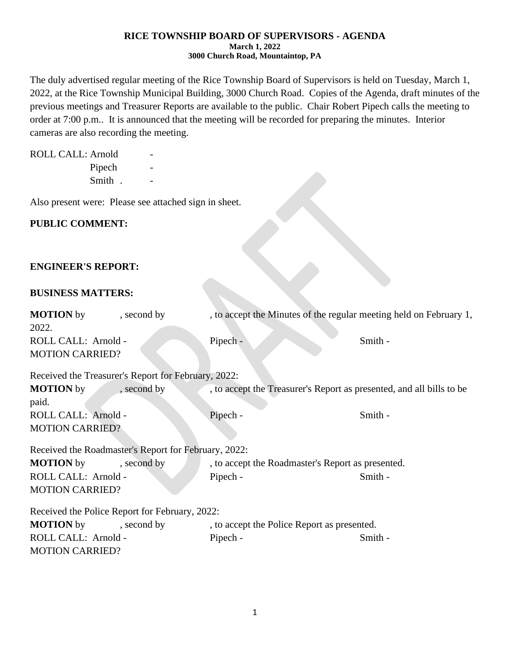#### **RICE TOWNSHIP BOARD OF SUPERVISORS - AGENDA March 1, 2022 3000 Church Road, Mountaintop, PA**

The duly advertised regular meeting of the Rice Township Board of Supervisors is held on Tuesday, March 1, 2022, at the Rice Township Municipal Building, 3000 Church Road. Copies of the Agenda, draft minutes of the previous meetings and Treasurer Reports are available to the public. Chair Robert Pipech calls the meeting to order at 7:00 p.m.. It is announced that the meeting will be recorded for preparing the minutes. Interior cameras are also recording the meeting.

| ROLL CALL: Arnold |        |  |
|-------------------|--------|--|
|                   | Pipech |  |
|                   | Smith. |  |

Also present were: Please see attached sign in sheet.

# **PUBLIC COMMENT:**

### **ENGINEER'S REPORT:**

### **BUSINESS MATTERS:**

| <b>MOTION</b> by<br>2022.                            | , second by | , to accept the Minutes of the regular meeting held on February 1,   |         |  |  |
|------------------------------------------------------|-------------|----------------------------------------------------------------------|---------|--|--|
| ROLL CALL: Arnold -<br><b>MOTION CARRIED?</b>        |             | Pipech -                                                             | Smith - |  |  |
| Received the Treasurer's Report for February, 2022:  |             |                                                                      |         |  |  |
| <b>MOTION</b> by<br>paid.                            | , second by | , to accept the Treasurer's Report as presented, and all bills to be |         |  |  |
| ROLL CALL: Arnold -<br><b>MOTION CARRIED?</b>        |             | Pipech -                                                             | Smith - |  |  |
| Received the Roadmaster's Report for February, 2022: |             |                                                                      |         |  |  |
| <b>MOTION</b> by                                     | , second by | , to accept the Roadmaster's Report as presented.                    |         |  |  |
| ROLL CALL: Arnold -<br><b>MOTION CARRIED?</b>        |             | Pipech -                                                             | Smith - |  |  |
| Received the Police Report for February, 2022:       |             |                                                                      |         |  |  |
| <b>MOTION</b> by                                     | , second by | , to accept the Police Report as presented.                          |         |  |  |
| ROLL CALL: Arnold -<br><b>MOTION CARRIED?</b>        |             | Pipech -                                                             | Smith - |  |  |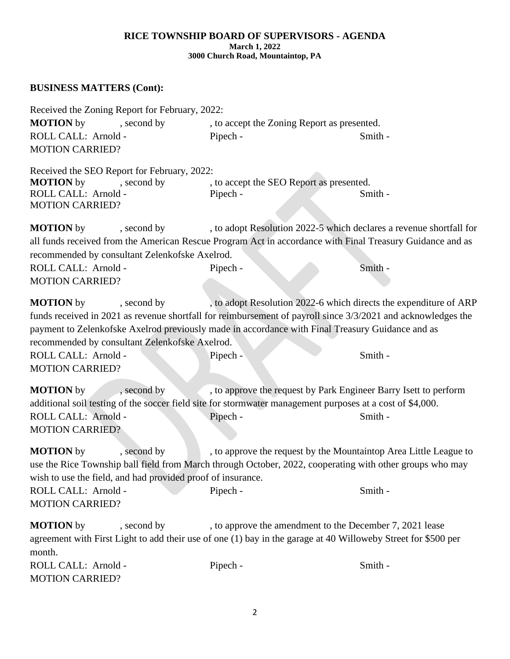#### **RICE TOWNSHIP BOARD OF SUPERVISORS - AGENDA March 1, 2022 3000 Church Road, Mountaintop, PA**

# **BUSINESS MATTERS (Cont):**

| Received the Zoning Report for February, 2022:<br><b>MOTION</b> by<br>, second by<br>ROLL CALL: Arnold -<br><b>MOTION CARRIED?</b>                                                                                                                                                                                                                                                                                                                 | Pipech - | , to accept the Zoning Report as presented.<br>Smith -                                                                                                                                      |  |  |
|----------------------------------------------------------------------------------------------------------------------------------------------------------------------------------------------------------------------------------------------------------------------------------------------------------------------------------------------------------------------------------------------------------------------------------------------------|----------|---------------------------------------------------------------------------------------------------------------------------------------------------------------------------------------------|--|--|
| Received the SEO Report for February, 2022:<br><b>MOTION</b> by<br>, second by<br>ROLL CALL: Arnold -<br><b>MOTION CARRIED?</b>                                                                                                                                                                                                                                                                                                                    | Pipech - | , to accept the SEO Report as presented.<br>Smith -                                                                                                                                         |  |  |
| <b>MOTION</b> by<br>, second by<br>recommended by consultant Zelenkofske Axelrod.<br>ROLL CALL: Arnold -<br><b>MOTION CARRIED?</b>                                                                                                                                                                                                                                                                                                                 | Pipech - | , to adopt Resolution 2022-5 which declares a revenue shortfall for<br>all funds received from the American Rescue Program Act in accordance with Final Treasury Guidance and as<br>Smith - |  |  |
| <b>MOTION</b> by<br>, to adopt Resolution 2022-6 which directs the expenditure of ARP<br>, second by<br>funds received in 2021 as revenue shortfall for reimbursement of payroll since 3/3/2021 and acknowledges the<br>payment to Zelenkofske Axelrod previously made in accordance with Final Treasury Guidance and as<br>recommended by consultant Zelenkofske Axelrod.<br>ROLL CALL: Arnold -<br>Smith -<br>Pipech -<br><b>MOTION CARRIED?</b> |          |                                                                                                                                                                                             |  |  |
| <b>MOTION</b> by<br>, second by<br>additional soil testing of the soccer field site for stormwater management purposes at a cost of \$4,000.<br>ROLL CALL: Arnold -<br><b>MOTION CARRIED?</b><br><b>MOTION</b> by<br>, second by                                                                                                                                                                                                                   | Pipech - | , to approve the request by Park Engineer Barry Isett to perform<br>Smith -<br>, to approve the request by the Mountaintop Area Little League to                                            |  |  |
| wish to use the field, and had provided proof of insurance.<br>ROLL CALL: Arnold -<br><b>MOTION CARRIED?</b>                                                                                                                                                                                                                                                                                                                                       | Pipech - | use the Rice Township ball field from March through October, 2022, cooperating with other groups who may<br>Smith -                                                                         |  |  |
| <b>MOTION</b> by<br>, second by<br>month.<br>ROLL CALL: Arnold -<br><b>MOTION CARRIED?</b>                                                                                                                                                                                                                                                                                                                                                         | Pipech - | , to approve the amendment to the December 7, 2021 lease<br>agreement with First Light to add their use of one (1) bay in the garage at 40 Willoweby Street for \$500 per<br>Smith -        |  |  |